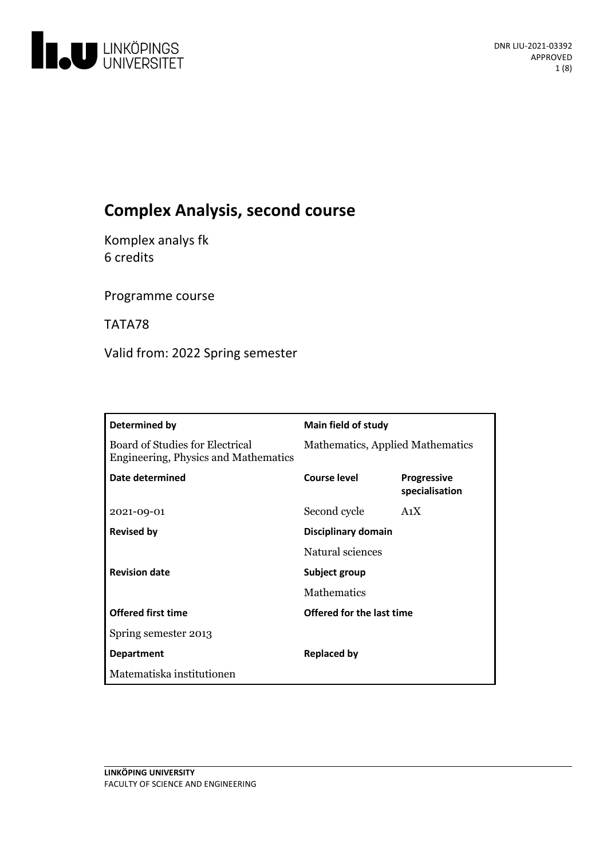

# **Complex Analysis, second course**

Komplex analys fk 6 credits

Programme course

TATA78

Valid from: 2022 Spring semester

| Determined by                                                           | <b>Main field of study</b>       |                                      |
|-------------------------------------------------------------------------|----------------------------------|--------------------------------------|
| Board of Studies for Electrical<br>Engineering, Physics and Mathematics | Mathematics, Applied Mathematics |                                      |
| Date determined                                                         | Course level                     | <b>Progressive</b><br>specialisation |
| 2021-09-01                                                              | Second cycle                     | A <sub>1</sub> X                     |
| <b>Revised by</b>                                                       | Disciplinary domain              |                                      |
|                                                                         | Natural sciences                 |                                      |
| <b>Revision date</b>                                                    | Subject group                    |                                      |
|                                                                         | <b>Mathematics</b>               |                                      |
| <b>Offered first time</b>                                               | Offered for the last time        |                                      |
| Spring semester 2013                                                    |                                  |                                      |
| <b>Department</b>                                                       | <b>Replaced by</b>               |                                      |
| Matematiska institutionen                                               |                                  |                                      |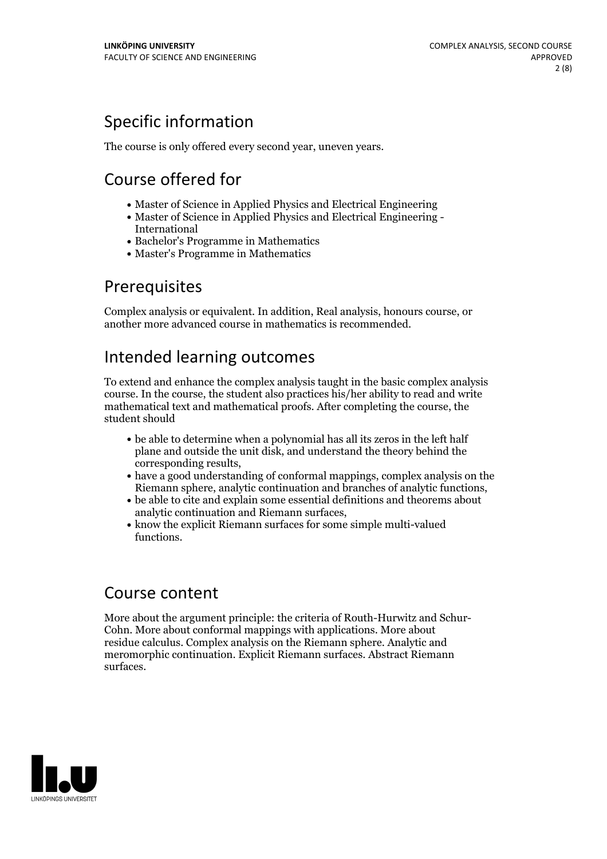## Specific information

The course is only offered every second year, uneven years.

## Course offered for

- Master of Science in Applied Physics and Electrical Engineering
- Master of Science in Applied Physics and Electrical Engineering International
- Bachelor's Programme in Mathematics
- Master's Programme in Mathematics

## **Prerequisites**

Complex analysis or equivalent. In addition, Real analysis, honours course, or another more advanced course in mathematics is recommended.

## Intended learning outcomes

To extend and enhance the complex analysis taught in the basic complex analysis course. In the course, the student also practices his/her ability to read and write mathematical text and mathematical proofs. After completing the course, the student should

- be able to determine when a polynomial has all its zeros in the left half plane and outside the unit disk, and understand the theory behind the
- corresponding results,<br>• have a good understanding of conformal mappings, complex analysis on the Riemann sphere, analytic continuation and branches of analytic functions,<br>be able to cite and explain some essential definitions and theorems about
- 
- analytic continuation and Riemann surfaces,<br>• know the explicit Riemann surfaces for some simple multi-valued functions.

## Course content

More about the argument principle: the criteria of Routh-Hurwitz and Schur- Cohn. More about conformal mappings with applications. More about residue calculus. Complex analysis on the Riemann sphere. Analytic and meromorphic continuation. Explicit Riemann surfaces. Abstract Riemann surfaces.

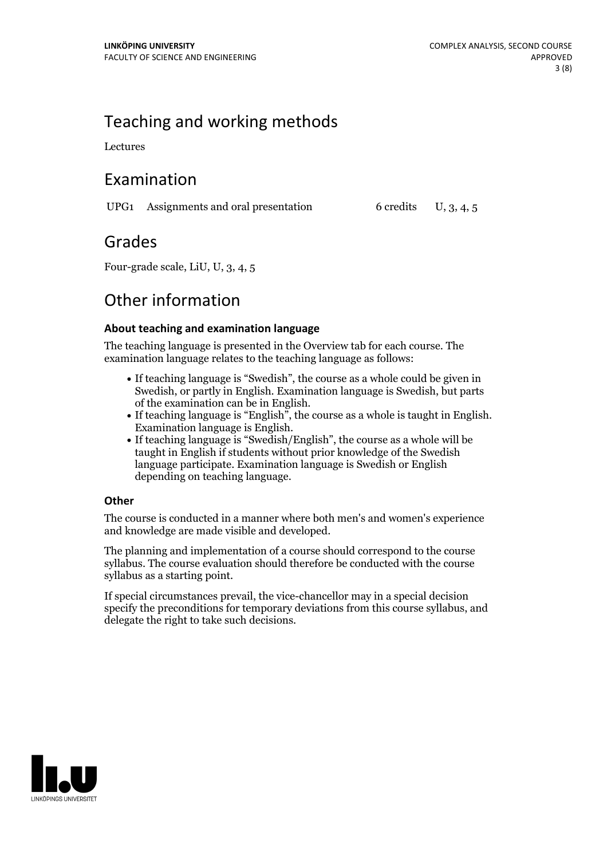## Teaching and working methods

Lectures

## Examination

UPG1 Assignments and oral presentation  $6 \text{ credits} \quad U, 3, 4, 5$ 

## Grades

Four-grade scale, LiU, U, 3, 4, 5

## Other information

### **About teaching and examination language**

The teaching language is presented in the Overview tab for each course. The examination language relates to the teaching language as follows:

- If teaching language is "Swedish", the course as a whole could be given in Swedish, or partly in English. Examination language is Swedish, but parts
- of the examination can be in English. If teaching language is "English", the course as <sup>a</sup> whole is taught in English. Examination language is English. If teaching language is "Swedish/English", the course as <sup>a</sup> whole will be
- taught in English if students without prior knowledge of the Swedish language participate. Examination language is Swedish or English depending on teaching language.

### **Other**

The course is conducted in a manner where both men's and women's experience and knowledge are made visible and developed.

The planning and implementation of a course should correspond to the course syllabus. The course evaluation should therefore be conducted with the course syllabus as a starting point.

If special circumstances prevail, the vice-chancellor may in a special decision specify the preconditions for temporary deviations from this course syllabus, and delegate the right to take such decisions.

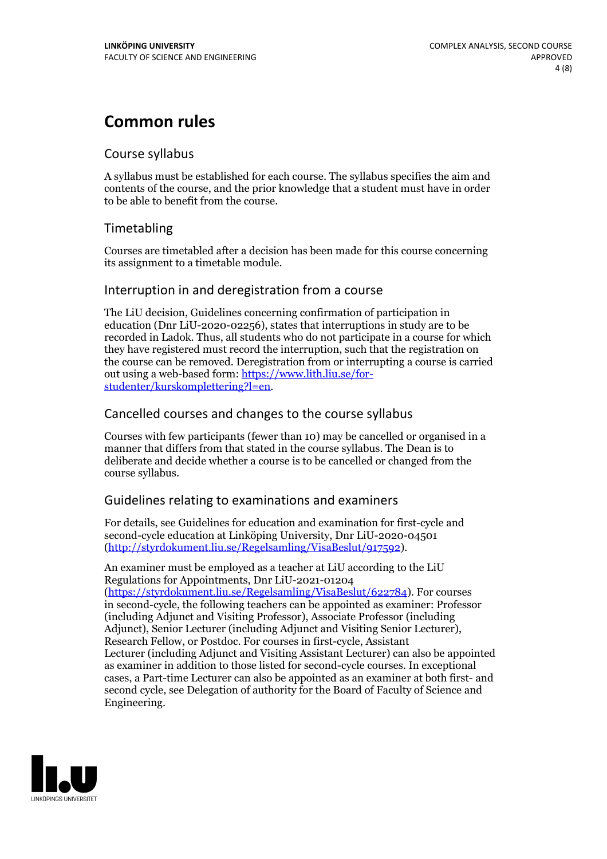## **Common rules**

### Course syllabus

A syllabus must be established for each course. The syllabus specifies the aim and contents of the course, and the prior knowledge that a student must have in order to be able to benefit from the course.

### Timetabling

Courses are timetabled after a decision has been made for this course concerning its assignment to a timetable module.

### Interruption in and deregistration from a course

The LiU decision, Guidelines concerning confirmation of participation in education (Dnr LiU-2020-02256), states that interruptions in study are to be recorded in Ladok. Thus, all students who do not participate in a course for which they have registered must record the interruption, such that the registration on the course can be removed. Deregistration from or interrupting a course is carried out using <sup>a</sup> web-based form: https://www.lith.liu.se/for- [studenter/kurskomplettering?l=en.](https://www.lith.liu.se/for-studenter/kurskomplettering?l=en)

### Cancelled courses and changes to the course syllabus

Courses with few participants (fewer than 10) may be cancelled or organised in a manner that differs from that stated in the course syllabus. The Dean is to deliberate and decide whether a course is to be cancelled or changed from the course syllabus.

### Guidelines relating to examinations and examiners

For details, see Guidelines for education and examination for first-cycle and second-cycle education at Linköping University, Dnr LiU-2020-04501 [\(http://styrdokument.liu.se/Regelsamling/VisaBeslut/917592\)](http://styrdokument.liu.se/Regelsamling/VisaBeslut/917592).

An examiner must be employed as a teacher at LiU according to the LiU Regulations for Appointments, Dnr LiU-2021-01204 [\(https://styrdokument.liu.se/Regelsamling/VisaBeslut/622784](https://styrdokument.liu.se/Regelsamling/VisaBeslut/622784)). For courses in second-cycle, the following teachers can be appointed as examiner: Professor (including Adjunct and Visiting Professor), Associate Professor (including Adjunct), Senior Lecturer (including Adjunct and Visiting Senior Lecturer), Research Fellow, or Postdoc. For courses in first-cycle, Assistant Lecturer (including Adjunct and Visiting Assistant Lecturer) can also be appointed as examiner in addition to those listed for second-cycle courses. In exceptional cases, a Part-time Lecturer can also be appointed as an examiner at both first- and second cycle, see Delegation of authority for the Board of Faculty of Science and Engineering.

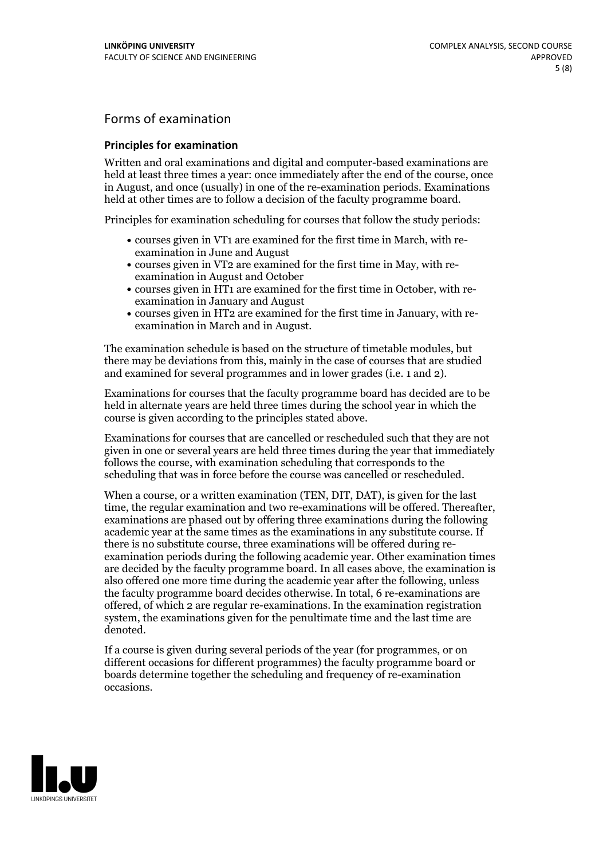## Forms of examination

#### **Principles for examination**

Written and oral examinations and digital and computer-based examinations are held at least three times a year: once immediately after the end of the course, once in August, and once (usually) in one of the re-examination periods. Examinations held at other times are to follow a decision of the faculty programme board.

Principles for examination scheduling for courses that follow the study periods:

- courses given in VT1 are examined for the first time in March, with re-examination in June and August
- courses given in VT2 are examined for the first time in May, with re-examination in August and October
- courses given in HT1 are examined for the first time in October, with re-examination in January and August
- courses given in HT2 are examined for the first time in January, with re-examination in March and in August.

The examination schedule is based on the structure of timetable modules, but there may be deviations from this, mainly in the case of courses that are studied and examined for several programmes and in lower grades (i.e. 1 and 2).

Examinations for courses that the faculty programme board has decided are to be held in alternate years are held three times during the school year in which the course is given according to the principles stated above.

Examinations for courses that are cancelled orrescheduled such that they are not given in one or several years are held three times during the year that immediately follows the course, with examination scheduling that corresponds to the scheduling that was in force before the course was cancelled or rescheduled.

When a course, or a written examination (TEN, DIT, DAT), is given for the last time, the regular examination and two re-examinations will be offered. Thereafter, examinations are phased out by offering three examinations during the following academic year at the same times as the examinations in any substitute course. If there is no substitute course, three examinations will be offered during re- examination periods during the following academic year. Other examination times are decided by the faculty programme board. In all cases above, the examination is also offered one more time during the academic year after the following, unless the faculty programme board decides otherwise. In total, 6 re-examinations are offered, of which 2 are regular re-examinations. In the examination registration system, the examinations given for the penultimate time and the last time are denoted.

If a course is given during several periods of the year (for programmes, or on different occasions for different programmes) the faculty programme board or boards determine together the scheduling and frequency of re-examination occasions.

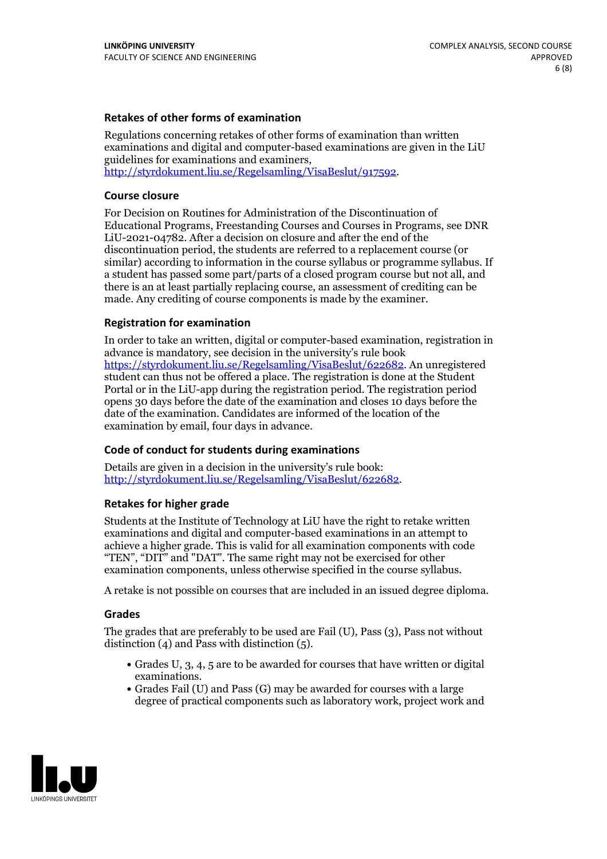### **Retakes of other forms of examination**

Regulations concerning retakes of other forms of examination than written examinations and digital and computer-based examinations are given in the LiU guidelines for examinations and examiners, [http://styrdokument.liu.se/Regelsamling/VisaBeslut/917592.](http://styrdokument.liu.se/Regelsamling/VisaBeslut/917592)

#### **Course closure**

For Decision on Routines for Administration of the Discontinuation of Educational Programs, Freestanding Courses and Courses in Programs, see DNR LiU-2021-04782. After a decision on closure and after the end of the discontinuation period, the students are referred to a replacement course (or similar) according to information in the course syllabus or programme syllabus. If a student has passed some part/parts of a closed program course but not all, and there is an at least partially replacing course, an assessment of crediting can be made. Any crediting of course components is made by the examiner.

### **Registration for examination**

In order to take an written, digital or computer-based examination, registration in advance is mandatory, see decision in the university's rule book [https://styrdokument.liu.se/Regelsamling/VisaBeslut/622682.](https://styrdokument.liu.se/Regelsamling/VisaBeslut/622682) An unregistered student can thus not be offered a place. The registration is done at the Student Portal or in the LiU-app during the registration period. The registration period opens 30 days before the date of the examination and closes 10 days before the date of the examination. Candidates are informed of the location of the examination by email, four days in advance.

### **Code of conduct for students during examinations**

Details are given in a decision in the university's rule book: <http://styrdokument.liu.se/Regelsamling/VisaBeslut/622682>.

#### **Retakes for higher grade**

Students at the Institute of Technology at LiU have the right to retake written examinations and digital and computer-based examinations in an attempt to achieve a higher grade. This is valid for all examination components with code "TEN", "DIT" and "DAT". The same right may not be exercised for other examination components, unless otherwise specified in the course syllabus.

A retake is not possible on courses that are included in an issued degree diploma.

#### **Grades**

The grades that are preferably to be used are Fail (U), Pass (3), Pass not without distinction  $(4)$  and Pass with distinction  $(5)$ .

- Grades U, 3, 4, 5 are to be awarded for courses that have written or digital examinations.<br>• Grades Fail (U) and Pass (G) may be awarded for courses with a large
- degree of practical components such as laboratory work, project work and

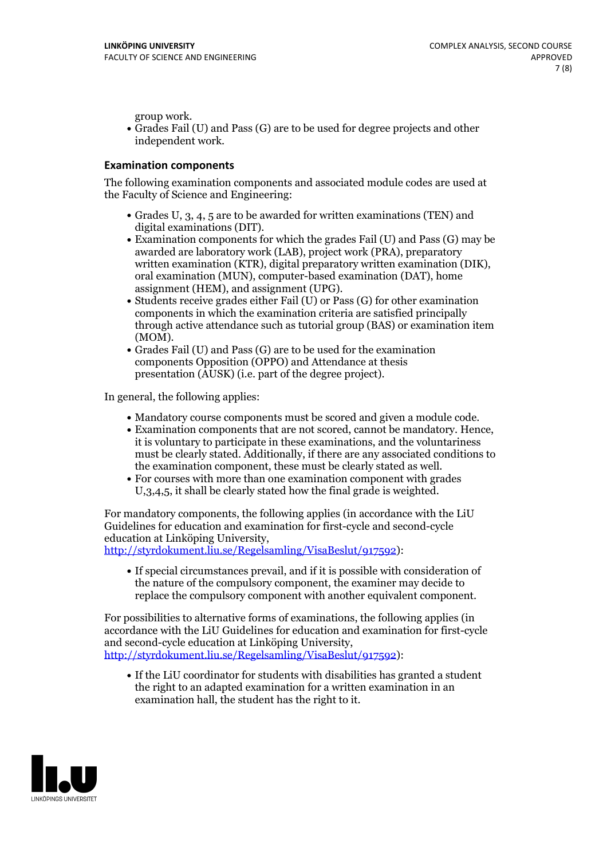group work.<br>• Grades Fail (U) and Pass (G) are to be used for degree projects and other independent work.

### **Examination components**

The following examination components and associated module codes are used at the Faculty of Science and Engineering:

- Grades U, 3, 4, 5 are to be awarded for written examinations (TEN) and
- digital examinations (DIT).<br>• Examination components for which the grades Fail (U) and Pass (G) may be awarded are laboratory work (LAB), project work (PRA), preparatory written examination (KTR), digital preparatory written examination (DIK), oral examination (MUN), computer-based examination (DAT), home
- assignment (HEM), and assignment (UPG).<br>• Students receive grades either Fail (U) or Pass (G) for other examination components in which the examination criteria are satisfied principally through active attendance such as tutorial group (BAS) or examination item
- (MOM).<br>• Grades Fail (U) and Pass (G) are to be used for the examination components Opposition (OPPO) and Attendance at thesis presentation (AUSK) (i.e. part of the degree project).

In general, the following applies:

- 
- Mandatory course components must be scored and given <sup>a</sup> module code. Examination components that are not scored, cannot be mandatory. Hence, it is voluntary to participate in these examinations, and the voluntariness must be clearly stated. Additionally, if there are any associated conditions to
- the examination component, these must be clearly stated as well.<br>• For courses with more than one examination component with grades U,3,4,5, it shall be clearly stated how the final grade is weighted.

For mandatory components, the following applies (in accordance with the LiU Guidelines for education and examination for first-cycle and second-cycle education at Linköping University,<br>[http://styrdokument.liu.se/Regelsamling/VisaBeslut/917592\)](http://styrdokument.liu.se/Regelsamling/VisaBeslut/917592):

If special circumstances prevail, and if it is possible with consideration of the nature of the compulsory component, the examiner may decide to replace the compulsory component with another equivalent component.

For possibilities to alternative forms of examinations, the following applies (in accordance with the LiU Guidelines for education and examination for first-cycle [http://styrdokument.liu.se/Regelsamling/VisaBeslut/917592\)](http://styrdokument.liu.se/Regelsamling/VisaBeslut/917592):

If the LiU coordinator for students with disabilities has granted a student the right to an adapted examination for a written examination in an examination hall, the student has the right to it.